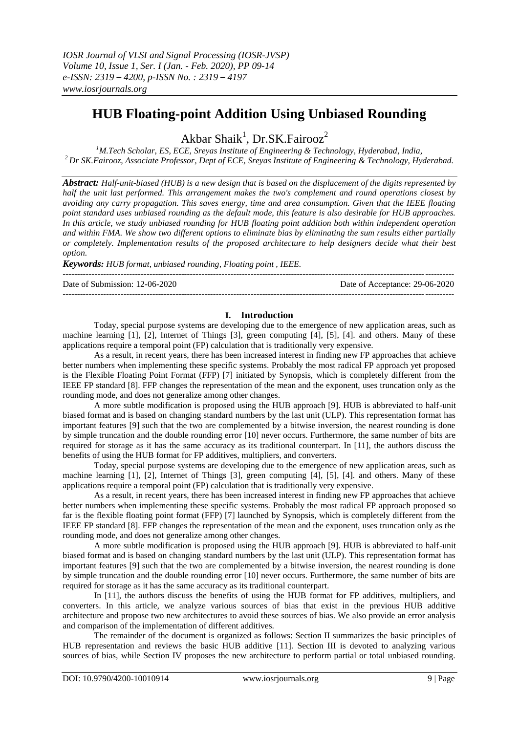# **HUB Floating-point Addition Using Unbiased Rounding**

Akbar Shaik<sup>1</sup>, Dr.SK.Fairooz<sup>2</sup>

*<sup>1</sup>M.Tech Scholar, ES, ECE, Sreyas Institute of Engineering & Technology, Hyderabad, India, <sup>2</sup>Dr SK.Fairooz, Associate Professor, Dept of ECE, Sreyas Institute of Engineering & Technology, Hyderabad.*

*Abstract: Half-unit-biased (HUB) is a new design that is based on the displacement of the digits represented by half the unit last performed. This arrangement makes the two's complement and round operations closest by avoiding any carry propagation. This saves energy, time and area consumption. Given that the IEEE floating point standard uses unbiased rounding as the default mode, this feature is also desirable for HUB approaches. In this article, we study unbiased rounding for HUB floating point addition both within independent operation and within FMA. We show two different options to eliminate bias by eliminating the sum results either partially or completely. Implementation results of the proposed architecture to help designers decide what their best option.*

*Keywords: HUB format, unbiased rounding, Floating point , IEEE.*

--------------------------------------------------------------------------------------------------------------------------------------- Date of Submission: 12-06-2020 Date of Acceptance: 29-06-2020 ---------------------------------------------------------------------------------------------------------------------------------------

## **I. Introduction**

Today, special purpose systems are developing due to the emergence of new application areas, such as machine learning [1], [2], Internet of Things [3], green computing [4], [5], [4]. and others. Many of these applications require a temporal point (FP) calculation that is traditionally very expensive.

As a result, in recent years, there has been increased interest in finding new FP approaches that achieve better numbers when implementing these specific systems. Probably the most radical FP approach yet proposed is the Flexible Floating Point Format (FFP) [7] initiated by Synopsis, which is completely different from the IEEE FP standard [8]. FFP changes the representation of the mean and the exponent, uses truncation only as the rounding mode, and does not generalize among other changes.

A more subtle modification is proposed using the HUB approach [9]. HUB is abbreviated to half-unit biased format and is based on changing standard numbers by the last unit (ULP). This representation format has important features [9] such that the two are complemented by a bitwise inversion, the nearest rounding is done by simple truncation and the double rounding error [10] never occurs. Furthermore, the same number of bits are required for storage as it has the same accuracy as its traditional counterpart. In [11], the authors discuss the benefits of using the HUB format for FP additives, multipliers, and converters.

Today, special purpose systems are developing due to the emergence of new application areas, such as machine learning [1], [2], Internet of Things [3], green computing [4], [5], [4]. and others. Many of these applications require a temporal point (FP) calculation that is traditionally very expensive.

As a result, in recent years, there has been increased interest in finding new FP approaches that achieve better numbers when implementing these specific systems. Probably the most radical FP approach proposed so far is the flexible floating point format (FFP) [7] launched by Synopsis, which is completely different from the IEEE FP standard [8]. FFP changes the representation of the mean and the exponent, uses truncation only as the rounding mode, and does not generalize among other changes.

A more subtle modification is proposed using the HUB approach [9]. HUB is abbreviated to half-unit biased format and is based on changing standard numbers by the last unit (ULP). This representation format has important features [9] such that the two are complemented by a bitwise inversion, the nearest rounding is done by simple truncation and the double rounding error [10] never occurs. Furthermore, the same number of bits are required for storage as it has the same accuracy as its traditional counterpart.

In [11], the authors discuss the benefits of using the HUB format for FP additives, multipliers, and converters. In this article, we analyze various sources of bias that exist in the previous HUB additive architecture and propose two new architectures to avoid these sources of bias. We also provide an error analysis and comparison of the implementation of different additives.

The remainder of the document is organized as follows: Section II summarizes the basic principles of HUB representation and reviews the basic HUB additive [11]. Section III is devoted to analyzing various sources of bias, while Section IV proposes the new architecture to perform partial or total unbiased rounding.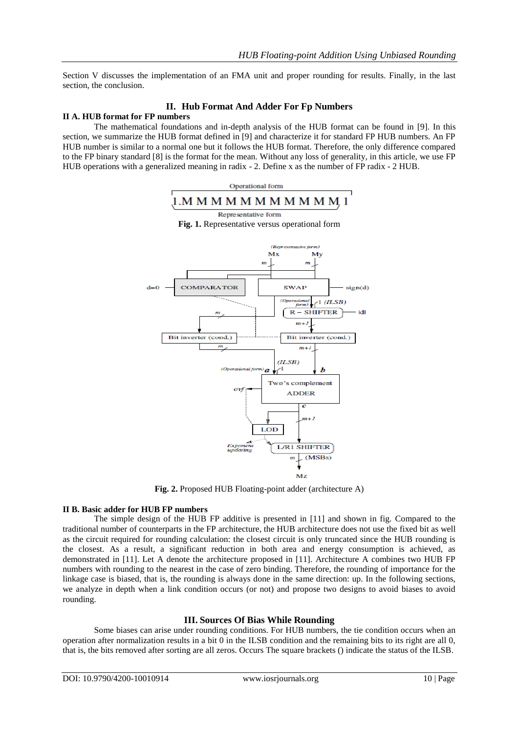Section V discusses the implementation of an FMA unit and proper rounding for results. Finally, in the last section, the conclusion.

# **II. Hub Format And Adder For Fp Numbers**

#### **II A. HUB format for FP numbers**

The mathematical foundations and in-depth analysis of the HUB format can be found in [9]. In this section, we summarize the HUB format defined in [9] and characterize it for standard FP HUB numbers. An FP HUB number is similar to a normal one but it follows the HUB format. Therefore, the only difference compared to the FP binary standard [8] is the format for the mean. Without any loss of generality, in this article, we use FP HUB operations with a generalized meaning in radix - 2. Define x as the number of FP radix - 2 HUB.



**Fig. 2.** Proposed HUB Floating-point adder (architecture A)

#### **II B. Basic adder for HUB FP numbers**

The simple design of the HUB FP additive is presented in [11] and shown in fig. Compared to the traditional number of counterparts in the FP architecture, the HUB architecture does not use the fixed bit as well as the circuit required for rounding calculation: the closest circuit is only truncated since the HUB rounding is the closest. As a result, a significant reduction in both area and energy consumption is achieved, as demonstrated in [11]. Let A denote the architecture proposed in [11]. Architecture A combines two HUB FP numbers with rounding to the nearest in the case of zero binding. Therefore, the rounding of importance for the linkage case is biased, that is, the rounding is always done in the same direction: up. In the following sections, we analyze in depth when a link condition occurs (or not) and propose two designs to avoid biases to avoid rounding.

# **III. Sources Of Bias While Rounding**

Some biases can arise under rounding conditions. For HUB numbers, the tie condition occurs when an operation after normalization results in a bit 0 in the ILSB condition and the remaining bits to its right are all 0, that is, the bits removed after sorting are all zeros. Occurs The square brackets () indicate the status of the ILSB.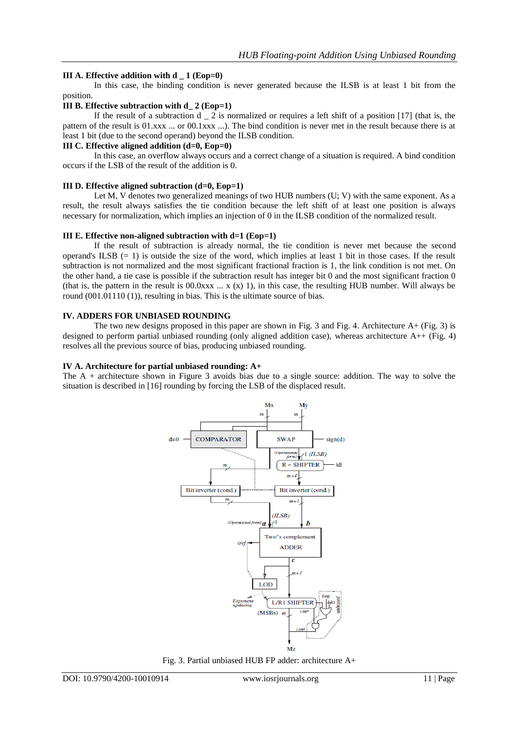# **III A. Effective addition with d \_ 1 (Eop=0)**

In this case, the binding condition is never generated because the ILSB is at least 1 bit from the position.

## **III B. Effective subtraction with d\_ 2 (Eop=1)**

If the result of a subtraction  $d = 2$  is normalized or requires a left shift of a position [17] (that is, the pattern of the result is 01.xxx ... or 00.1xxx ...). The bind condition is never met in the result because there is at least 1 bit (due to the second operand) beyond the ILSB condition.

#### **III C. Effective aligned addition (d=0, Eop=0)**

In this case, an overflow always occurs and a correct change of a situation is required. A bind condition occurs if the LSB of the result of the addition is 0.

## **III D. Effective aligned subtraction (d=0, Eop=1)**

Let M, V denotes two generalized meanings of two HUB numbers (U; V) with the same exponent. As a result, the result always satisfies the tie condition because the left shift of at least one position is always necessary for normalization, which implies an injection of 0 in the ILSB condition of the normalized result.

## **III E. Effective non-aligned subtraction with d=1 (Eop=1)**

If the result of subtraction is already normal, the tie condition is never met because the second operand's ILSB  $(= 1)$  is outside the size of the word, which implies at least 1 bit in those cases. If the result subtraction is not normalized and the most significant fractional fraction is 1, the link condition is not met. On the other hand, a tie case is possible if the subtraction result has integer bit 0 and the most significant fraction 0 (that is, the pattern in the result is  $00.0xxx$  ...  $x(x)$  1), in this case, the resulting HUB number. Will always be round (001.01110 (1)), resulting in bias. This is the ultimate source of bias.

# **IV. ADDERS FOR UNBIASED ROUNDING**

The two new designs proposed in this paper are shown in Fig. 3 and Fig. 4. Architecture  $A+$  (Fig. 3) is designed to perform partial unbiased rounding (only aligned addition case), whereas architecture A++ (Fig. 4) resolves all the previous source of bias, producing unbiased rounding.

# **IV A. Architecture for partial unbiased rounding: A+**

The A + architecture shown in Figure 3 avoids bias due to a single source: addition. The way to solve the situation is described in [16] rounding by forcing the LSB of the displaced result.



Fig. 3. Partial unbiased HUB FP adder: architecture A+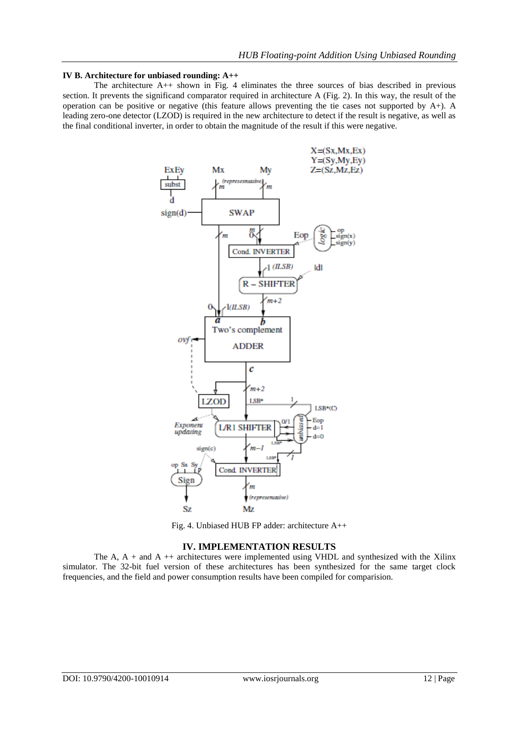#### **IV B. Architecture for unbiased rounding: A++**

The architecture A++ shown in Fig. 4 eliminates the three sources of bias described in previous section. It prevents the significand comparator required in architecture A (Fig. 2). In this way, the result of the operation can be positive or negative (this feature allows preventing the tie cases not supported by A+). A leading zero-one detector (LZOD) is required in the new architecture to detect if the result is negative, as well as the final conditional inverter, in order to obtain the magnitude of the result if this were negative.



Fig. 4. Unbiased HUB FP adder: architecture A++

#### **IV. IMPLEMENTATION RESULTS**

The A,  $A +$  and  $A +$ + architectures were implemented using VHDL and synthesized with the Xilinx simulator. The 32-bit fuel version of these architectures has been synthesized for the same target clock frequencies, and the field and power consumption results have been compiled for comparision.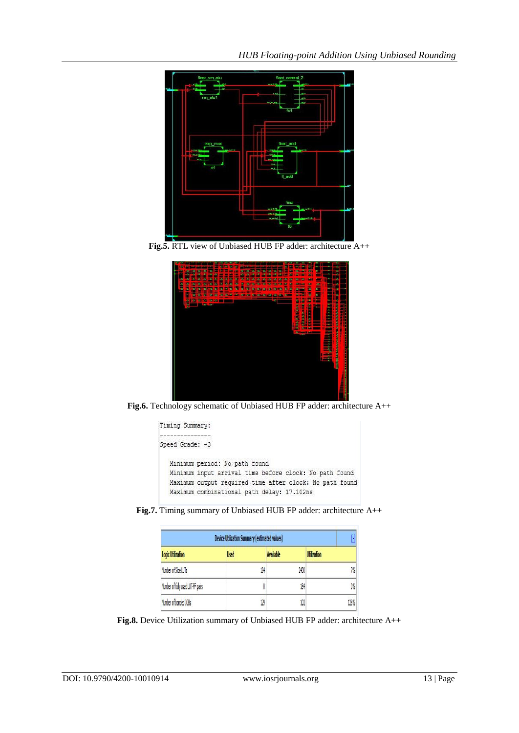

**Fig.5.** RTL view of Unbiased HUB FP adder: architecture A++



**Fig.6.** Technology schematic of Unbiased HUB FP adder: architecture A++



**Fig.7.** Timing summary of Unbiased HUB FP adder: architecture A++

| <b>Device Utilization Summary (estimated values)</b> |             |                  |                    |
|------------------------------------------------------|-------------|------------------|--------------------|
| <b>Logic Utilization</b>                             | <b>Used</b> | <b>Available</b> | <b>Utilization</b> |
| Number of Slice LUTs                                 | 184         | 2400             | 7%                 |
| Number of fully used LUT-FF pairs                    |             | 184              | 0%                 |
| Number of bonded IOBs                                | 129         | 102              | 126%               |

**Fig.8.** Device Utilization summary of Unbiased HUB FP adder: architecture A++